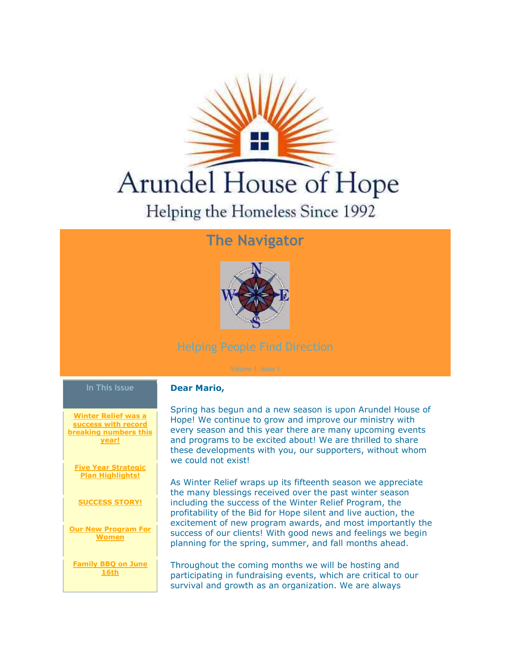

# **The Navigator**



#### **In This Issue**

**[Winter Relief was a](https://ui.constantcontact.com/visualeditor/visual_editor_preview.jsp?agent.uid=1101585443283&fromView=previewFromDetail&popin=true&previewFromDetail=true&previewFromSent=true&pageName=ecampaign.ve.edit#LETTER.BLOCK8)  [success with record](https://ui.constantcontact.com/visualeditor/visual_editor_preview.jsp?agent.uid=1101585443283&fromView=previewFromDetail&popin=true&previewFromDetail=true&previewFromSent=true&pageName=ecampaign.ve.edit#LETTER.BLOCK8)  braing numbers thing [year!](https://ui.constantcontact.com/visualeditor/visual_editor_preview.jsp?agent.uid=1101585443283&fromView=previewFromDetail&popin=true&previewFromDetail=true&previewFromSent=true&pageName=ecampaign.ve.edit#LETTER.BLOCK8)**

**[Five Year Strategic](https://ui.constantcontact.com/visualeditor/visual_editor_preview.jsp?agent.uid=1101585443283&fromView=previewFromDetail&popin=true&previewFromDetail=true&previewFromSent=true&pageName=ecampaign.ve.edit#LETTER.BLOCK9)  [Plan Highlights!](https://ui.constantcontact.com/visualeditor/visual_editor_preview.jsp?agent.uid=1101585443283&fromView=previewFromDetail&popin=true&previewFromDetail=true&previewFromSent=true&pageName=ecampaign.ve.edit#LETTER.BLOCK9)**

**[SUCCESS STORY!](https://ui.constantcontact.com/visualeditor/visual_editor_preview.jsp?agent.uid=1101585443283&fromView=previewFromDetail&popin=true&previewFromDetail=true&previewFromSent=true&pageName=ecampaign.ve.edit#LETTER.BLOCK10)**

**[Our New Program For](https://ui.constantcontact.com/visualeditor/visual_editor_preview.jsp?agent.uid=1101585443283&fromView=previewFromDetail&popin=true&previewFromDetail=true&previewFromSent=true&pageName=ecampaign.ve.edit#LETTER.BLOCK11)  [Women](https://ui.constantcontact.com/visualeditor/visual_editor_preview.jsp?agent.uid=1101585443283&fromView=previewFromDetail&popin=true&previewFromDetail=true&previewFromSent=true&pageName=ecampaign.ve.edit#LETTER.BLOCK11)**

**[Family BBQ on June](https://ui.constantcontact.com/visualeditor/visual_editor_preview.jsp?agent.uid=1101585443283&fromView=previewFromDetail&popin=true&previewFromDetail=true&previewFromSent=true&pageName=ecampaign.ve.edit#LETTER.BLOCK12)  [16th](https://ui.constantcontact.com/visualeditor/visual_editor_preview.jsp?agent.uid=1101585443283&fromView=previewFromDetail&popin=true&previewFromDetail=true&previewFromSent=true&pageName=ecampaign.ve.edit#LETTER.BLOCK12)**

#### **Dear Mario,**

Spring has begun and a new season is upon Arundel House of Hope! We continue to grow and improve our ministry with every season and this year there are many upcoming events and programs to be excited about! We are thrilled to share these developments with you, our supporters, without whom we could not exist!

As Winter Relief wraps up its fifteenth season we appreciate the many blessings received over the past winter season including the success of the Winter Relief Program, the profitability of the Bid for Hope silent and live auction, the excitement of new program awards, and most importantly the success of our clients! With good news and feelings we begin planning for the spring, summer, and fall months ahead.

Throughout the coming months we will be hosting and participating in fundraising events, which are critical to our survival and growth as an organization. We are always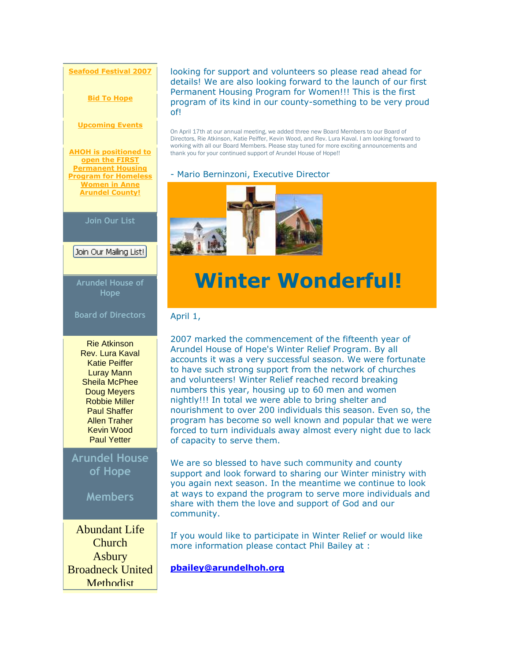**[Seafood Festival 2007](https://ui.constantcontact.com/visualeditor/visual_editor_preview.jsp?agent.uid=1101585443283&fromView=previewFromDetail&popin=true&previewFromDetail=true&previewFromSent=true&pageName=ecampaign.ve.edit#LETTER.BLOCK13)**

**[Bid To Hope](https://ui.constantcontact.com/visualeditor/visual_editor_preview.jsp?agent.uid=1101585443283&fromView=previewFromDetail&popin=true&previewFromDetail=true&previewFromSent=true&pageName=ecampaign.ve.edit#LETTER.BLOCK14)**

#### **[Upcoming Events](https://ui.constantcontact.com/visualeditor/visual_editor_preview.jsp?agent.uid=1101585443283&fromView=previewFromDetail&popin=true&previewFromDetail=true&previewFromSent=true&pageName=ecampaign.ve.edit#LETTER.BLOCK15)**

**[AHOH is positioned to](https://ui.constantcontact.com/visualeditor/visual_editor_preview.jsp?agent.uid=1101585443283&fromView=previewFromDetail&popin=true&previewFromDetail=true&previewFromSent=true&pageName=ecampaign.ve.edit#LETTER.BLOCK16)  open the FIRST [Permanent Housing](https://ui.constantcontact.com/visualeditor/visual_editor_preview.jsp?agent.uid=1101585443283&fromView=previewFromDetail&popin=true&previewFromDetail=true&previewFromSent=true&pageName=ecampaign.ve.edit#LETTER.BLOCK16)  [Program for Homeless](https://ui.constantcontact.com/visualeditor/visual_editor_preview.jsp?agent.uid=1101585443283&fromView=previewFromDetail&popin=true&previewFromDetail=true&previewFromSent=true&pageName=ecampaign.ve.edit#LETTER.BLOCK16)  Women in Anne [Arundel County!](https://ui.constantcontact.com/visualeditor/visual_editor_preview.jsp?agent.uid=1101585443283&fromView=previewFromDetail&popin=true&previewFromDetail=true&previewFromSent=true&pageName=ecampaign.ve.edit#LETTER.BLOCK16)**

**Join Our List**

Join Our Mailing List!

**Arundel House of Hope**

**Board of Directors**

Rie Atkinson Rev. Lura Kaval Katie Peiffer Luray Mann Sheila McPhee Doug Meyers Robbie Miller Paul Shaffer Allen Traher Kevin Wood Paul Yetter

**Arundel House of Hope**

**Members**

Abundant Life **Church** Asbury Broadneck United **Methodist** 

looking for support and volunteers so please read ahead for details! We are also looking forward to the launch of our first Permanent Housing Program for Women!!! This is the first program of its kind in our county-something to be very proud of!

On April 17th at our annual meeting, we added three new Board Members to our Board of Directors, Rie Atkinson, Katie Peiffer, Kevin Wood, and Rev. Lura Kaval. I am looking forward to working with all our Board Members. Please stay tuned for more exciting announcements and thank you for your continued support of Arundel House of Hope!!

#### - Mario Berninzoni, Executive Director



## **Winter Wonderful!**

### April 1,

2007 marked the commencement of the fifteenth year of Arundel House of Hope's Winter Relief Program. By all accounts it was a very successful season. We were fortunate to have such strong support from the network of churches and volunteers! Winter Relief reached record breaking numbers this year, housing up to 60 men and women nightly!!! In total we were able to bring shelter and nourishment to over 200 individuals this season. Even so, the program has become so well known and popular that we were forced to turn individuals away almost every night due to lack of capacity to serve them.

We are so blessed to have such community and county support and look forward to sharing our Winter ministry with you again next season. In the meantime we continue to look at ways to expand the program to serve more individuals and share with them the love and support of God and our community.

If you would like to participate in Winter Relief or would like more information please contact Phil Bailey at :

**[pbailey@arundelhoh.org](mailto:pbailey@arundelhoh.org)**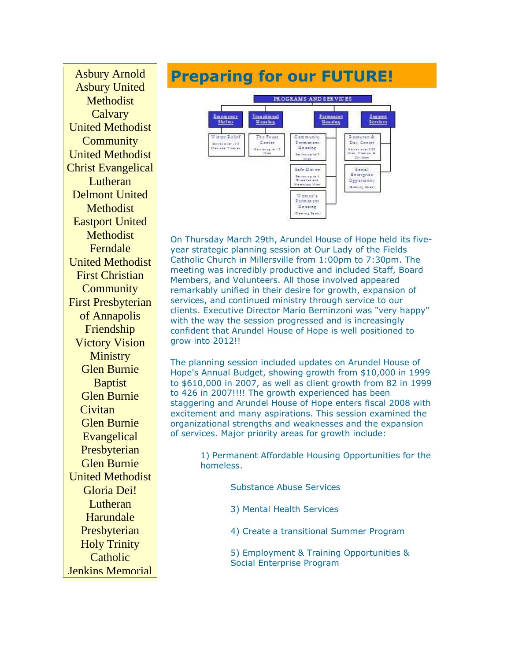Asbury Arnold Asbury United Methodist **Calvary** United Methodist **Community** United Methodist Christ Evangelical Lutheran Delmont United **Methodist** Eastport United **Methodist** Ferndale United Methodist First Christian **Community** First Presbyterian of Annapolis Friendship Victory Vision **Ministry** Glen Burnie **Baptist** Glen Burnie **Civitan** Glen Burnie **Evangelical Presbyterian** Glen Burnie United Methodist Gloria Dei! Lutheran Harundale Presbyterian Holy Trinity **Catholic** Jenkins Memorial

## **Preparing for our FUTURE!**



On Thursday March 29th, Arundel House of Hope held its fiveyear strategic planning session at Our Lady of the Fields Catholic Church in Millersville from 1:00pm to 7:30pm. The meeting was incredibly productive and included Staff, Board Members, and Volunteers. All those involved appeared remarkably unified in their desire for growth, expansion of services, and continued ministry through service to our clients. Executive Director Mario Berninzoni was "very happy" with the way the session progressed and is increasingly confident that Arundel House of Hope is well positioned to grow into 2012!!

The planning session included updates on Arundel House of Hope's Annual Budget, showing growth from \$10,000 in 1999 to \$610,000 in 2007, as well as client growth from 82 in 1999 to 426 in 2007!!!! The growth experienced has been staggering and Arundel House of Hope enters fiscal 2008 with excitement and many aspirations. This session examined the organizational strengths and weaknesses and the expansion of services. Major priority areas for growth include:

> 1) Permanent Affordable Housing Opportunities for the homeless.

> > Substance Abuse Services

3) Mental Health Services

4) Create a transitional Summer Program

5) Employment & Training Opportunities & Social Enterprise Program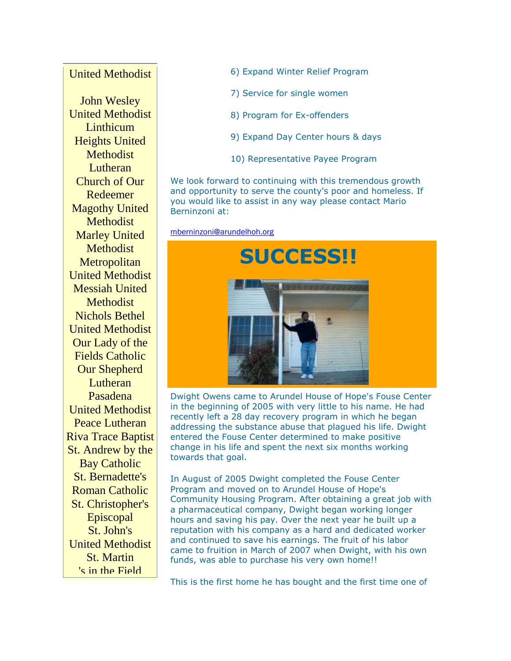### United Methodist

John Wesley United Methodist **Linthicum** Heights United Methodist Lutheran Church of Our Redeemer Magothy United **Methodist** Marley United **Methodist Metropolitan** United Methodist Messiah United **Methodist** Nichols Bethel United Methodist Our Lady of the Fields Catholic Our Shepherd **Lutheran** Pasadena United Methodist Peace Lutheran Riva Trace Baptist St. Andrew by the Bay Catholic St. Bernadette's Roman Catholic St. Christopher's Episcopal St. John's United Methodist St. Martin 's in the Field

- 6) Expand Winter Relief Program
- 7) Service for single women
- 8) Program for Ex-offenders
- 9) Expand Day Center hours & days
- 10) Representative Payee Program

We look forward to continuing with this tremendous growth and opportunity to serve the county's poor and homeless. If you would like to assist in any way please contact Mario Berninzoni at:

[mberninzoni@arundelhoh.org](mailto:mberninzoni@arundelhoh.org)



Dwight Owens came to Arundel House of Hope's Fouse Center in the beginning of 2005 with very little to his name. He had recently left a 28 day recovery program in which he began addressing the substance abuse that plagued his life. Dwight entered the Fouse Center determined to make positive change in his life and spent the next six months working towards that goal.

In August of 2005 Dwight completed the Fouse Center Program and moved on to Arundel House of Hope's Community Housing Program. After obtaining a great job with a pharmaceutical company, Dwight began working longer hours and saving his pay. Over the next year he built up a reputation with his company as a hard and dedicated worker and continued to save his earnings. The fruit of his labor came to fruition in March of 2007 when Dwight, with his own funds, was able to purchase his very own home!!

This is the first home he has bought and the first time one of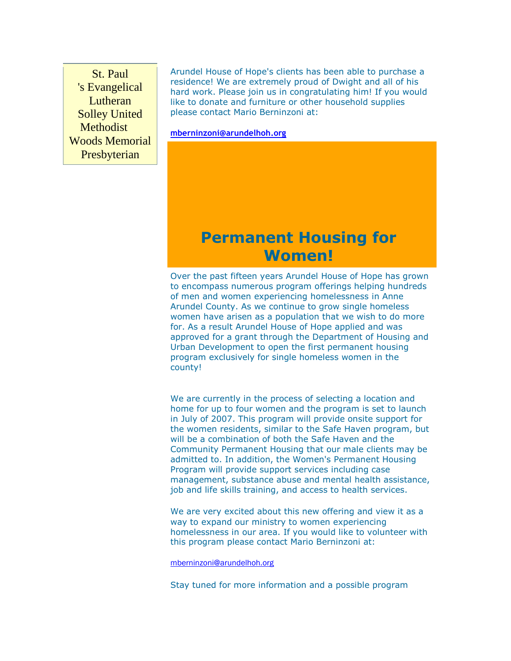St. Paul 's Evangelical Lutheran Solley United **Methodist** Woods Memorial Presbyterian

Arundel House of Hope's clients has been able to purchase a residence! We are extremely proud of Dwight and all of his hard work. Please join us in congratulating him! If you would like to donate and furniture or other household supplies please contact Mario Berninzoni at:

**[mberninzoni@arundelhoh.org](mailto:mberninzoni@arundelhoh.org)**

## **Permanent Housing for Women!**

Over the past fifteen years Arundel House of Hope has grown to encompass numerous program offerings helping hundreds of men and women experiencing homelessness in Anne Arundel County. As we continue to grow single homeless women have arisen as a population that we wish to do more for. As a result Arundel House of Hope applied and was approved for a grant through the Department of Housing and Urban Development to open the first permanent housing program exclusively for single homeless women in the county!

We are currently in the process of selecting a location and home for up to four women and the program is set to launch in July of 2007. This program will provide onsite support for the women residents, similar to the Safe Haven program, but will be a combination of both the Safe Haven and the Community Permanent Housing that our male clients may be admitted to. In addition, the Women's Permanent Housing Program will provide support services including case management, substance abuse and mental health assistance, job and life skills training, and access to health services.

We are very excited about this new offering and view it as a way to expand our ministry to women experiencing homelessness in our area. If you would like to volunteer with this program please contact Mario Berninzoni at:

[mberninzoni@arundelhoh.org](mailto:mberninzoni@arundelhoh.org)

Stay tuned for more information and a possible program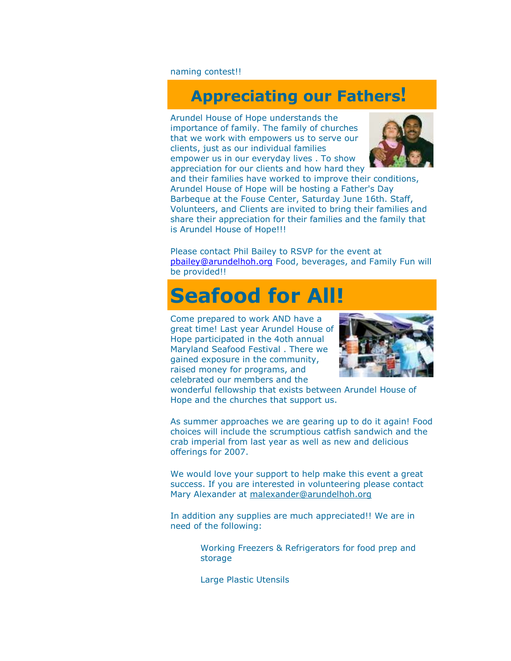naming contest!!

## **Appreciating our Fathers!**

Arundel House of Hope understands the importance of family. The family of churches that we work with empowers us to serve our clients, just as our individual families empower us in our everyday lives . To show appreciation for our clients and how hard they



and their families have worked to improve their conditions, Arundel House of Hope will be hosting a Father's Day Barbeque at the Fouse Center, Saturday June 16th. Staff, Volunteers, and Clients are invited to bring their families and share their appreciation for their families and the family that is Arundel House of Hope!!!

Please contact Phil Bailey to RSVP for the event at [pbailey@arundelhoh.org](mailto:pbailey@arundelhoh.org) Food, beverages, and Family Fun will be provided!!

## **Seafood for All!**

Come prepared to work AND have a great time! Last year Arundel House of Hope participated in the 4oth annual Maryland Seafood Festival . There we gained exposure in the community, raised money for programs, and celebrated our members and the



wonderful fellowship that exists between Arundel House of Hope and the churches that support us.

As summer approaches we are gearing up to do it again! Food choices will include the scrumptious catfish sandwich and the crab imperial from last year as well as new and delicious offerings for 2007.

We would love your support to help make this event a great success. If you are interested in volunteering please contact Mary Alexander at [malexander@arundelhoh.org](mailto:malexander@arundelhoh.org)

In addition any supplies are much appreciated!! We are in need of the following:

> Working Freezers & Refrigerators for food prep and storage

Large Plastic Utensils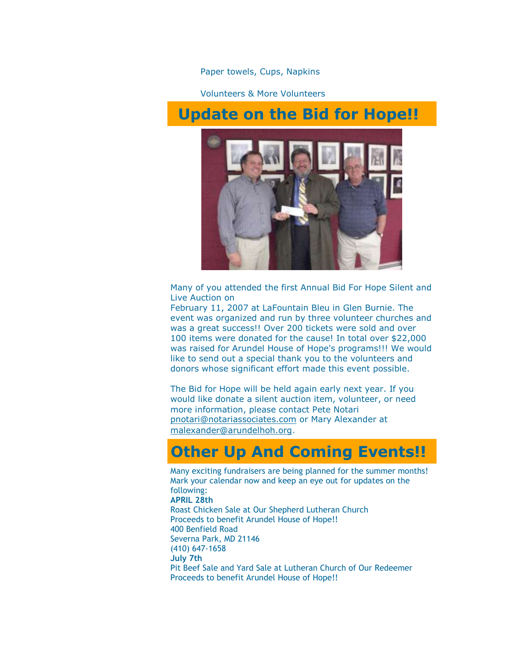Paper towels, Cups, Napkins

Volunteers & More Volunteers

## **Update on the Bid for Hope!!**



Many of you attended the first Annual Bid For Hope Silent and Live Auction on

February 11, 2007 at LaFountain Bleu in Glen Burnie. The event was organized and run by three volunteer churches and was a great success!! Over 200 tickets were sold and over 100 items were donated for the cause! In total over \$22,000 was raised for Arundel House of Hope's programs!!! We would like to send out a special thank you to the volunteers and donors whose significant effort made this event possible.

The Bid for Hope will be held again early next year. If you would like donate a silent auction item, volunteer, or need more information, please contact Pete Notari [pnotari@notariassociates.com](mailto:pnotari@notariassociates.com) or Mary Alexander at malexande[r@arundelhoh.org](mailto:p@arundelhoh.org).

### **Other Up And Coming Events!!**

Many exciting fundraisers are being planned for the summer months! Mark your calendar now and keep an eye out for updates on the following: **APRIL 28th**  Roast Chicken Sale at Our Shepherd Lutheran Church Proceeds to benefit Arundel House of Hope!! 400 Benfield Road Severna Park, MD 21146 (410) 647-1658 **July 7th** Pit Beef Sale and Yard Sale at Lutheran Church of Our Redeemer Proceeds to benefit Arundel House of Hope!!